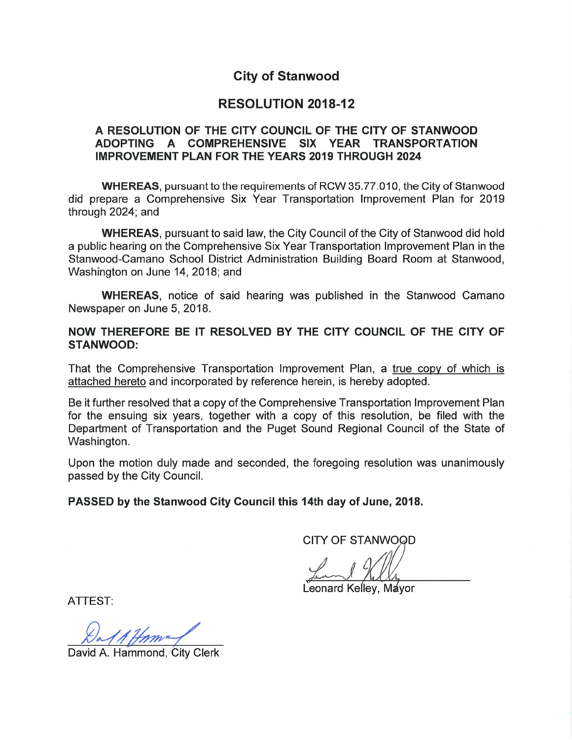# **City of Stanwood**

## **RESOLUTION 2018-12**

#### A RESOLUTION OF THE CITY COUNCIL OF THE CITY OF STANWOOD ADOPTING A COMPREHENSIVE SIX YEAR **TRANSPORTATION IMPROVEMENT PLAN FOR THE YEARS 2019 THROUGH 2024**

**WHEREAS, pursuant to the requirements of RCW 35.77.010, the City of Stanwood** did prepare a Comprehensive Six Year Transportation Improvement Plan for 2019 through 2024; and

**WHEREAS, pursuant to said law, the City Council of the City of Stanwood did hold** a public hearing on the Comprehensive Six Year Transportation Improvement Plan in the Stanwood-Camano School District Administration Building Board Room at Stanwood. Washington on June 14, 2018; and

**WHEREAS**, notice of said hearing was published in the Stanwood Camano Newspaper on June 5, 2018.

## NOW THEREFORE BE IT RESOLVED BY THE CITY COUNCIL OF THE CITY OF **STANWOOD:**

That the Comprehensive Transportation Improvement Plan, a true copy of which is attached hereto and incorporated by reference herein, is hereby adopted.

Be it further resolved that a copy of the Comprehensive Transportation Improvement Plan for the ensuing six years, together with a copy of this resolution, be filed with the Department of Transportation and the Puget Sound Regional Council of the State of Washington.

Upon the motion duly made and seconded, the foregoing resolution was unanimously passed by the City Council.

## PASSED by the Stanwood City Council this 14th day of June, 2018.

**CITY OF STANWOOD** 

Leonard Kellev, Mayor

ATTEST:

A. Hammond. City Clerk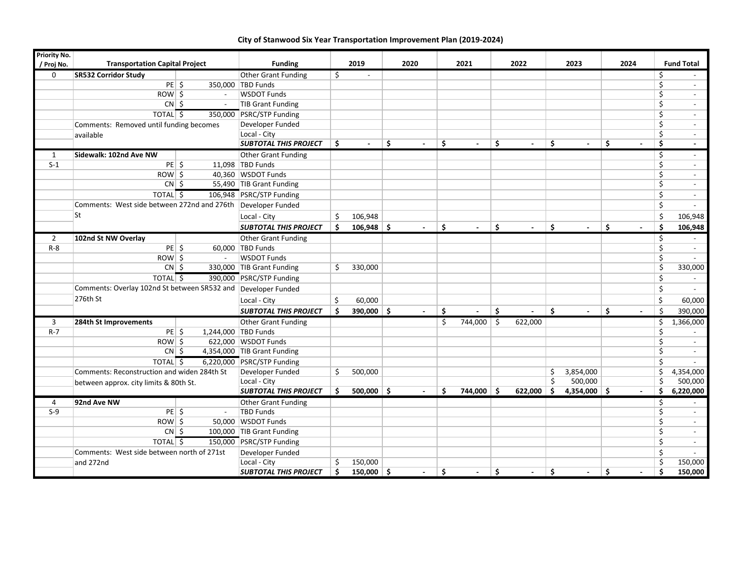| <b>Priority No.</b> | <b>Transportation Capital Project</b>                         |                     |                              |    |                |                |    |                |    |                |    |                          |     |                          |             |                   |
|---------------------|---------------------------------------------------------------|---------------------|------------------------------|----|----------------|----------------|----|----------------|----|----------------|----|--------------------------|-----|--------------------------|-------------|-------------------|
| / Proj No.          |                                                               |                     | <b>Funding</b>               |    | 2019           | 2020           |    | 2021           |    | 2022           |    | 2023                     |     | 2024                     |             | <b>Fund Total</b> |
| $\mathbf 0$         | SR532 Corridor Study                                          |                     | Other Grant Funding          | \$ | $\blacksquare$ |                |    |                |    |                |    |                          |     |                          | \$          |                   |
|                     | $PE$ \$                                                       |                     | 350,000 TBD Funds            |    |                |                |    |                |    |                |    |                          |     |                          | $\varsigma$ | $\sim$            |
|                     | ROW \$                                                        | $\sim$              | <b>WSDOT Funds</b>           |    |                |                |    |                |    |                |    |                          |     |                          | \$          |                   |
|                     | $CN \mid \xi$                                                 | $\blacksquare$      | TIB Grant Funding            |    |                |                |    |                |    |                |    |                          |     |                          | \$          | $\sim$            |
|                     | TOTAL \$                                                      |                     | 350,000 PSRC/STP Funding     |    |                |                |    |                |    |                |    |                          |     |                          | \$          | $\sim$            |
|                     | Comments: Removed until funding becomes                       |                     | Developer Funded             |    |                |                |    |                |    |                |    |                          |     |                          | \$          | $\sim$            |
|                     | available                                                     |                     | Local - City                 |    |                |                |    |                |    |                |    |                          |     |                          | \$          |                   |
|                     |                                                               |                     | <b>SUBTOTAL THIS PROJECT</b> | Ŝ. | $\blacksquare$ | \$<br>$\sim$   | Ŝ. | $\sim$         | \$ | $\sim$         | Ŝ. | $\overline{\phantom{a}}$ | \$. | $\overline{\phantom{a}}$ | Ŝ.          | $\sim$            |
| 1                   | Sidewalk: 102nd Ave NW                                        |                     | Other Grant Funding          |    |                |                |    |                |    |                |    |                          |     |                          | \$          | $\sim$            |
| $S-1$               | $PE$ \$                                                       |                     | 11,098 TBD Funds             |    |                |                |    |                |    |                |    |                          |     |                          | \$          | $\sim$            |
|                     | $ROW$ \$                                                      |                     | 40,360 WSDOT Funds           |    |                |                |    |                |    |                |    |                          |     |                          | \$          |                   |
|                     | $CN \mid S$                                                   |                     | 55,490 TIB Grant Funding     |    |                |                |    |                |    |                |    |                          |     |                          | \$          | $\sim$            |
|                     | TOTAL <sup>5</sup>                                            |                     | 106,948 PSRC/STP Funding     |    |                |                |    |                |    |                |    |                          |     |                          | \$          | $\sim$            |
|                     | Comments: West side between 272nd and 276th Developer Funded  |                     |                              |    |                |                |    |                |    |                |    |                          |     |                          | Ś.          | $\sim$            |
|                     | lSt                                                           |                     | Local - City                 | Ŝ. | 106,948        |                |    |                |    |                |    |                          |     |                          | \$          | 106,948           |
|                     |                                                               |                     | <b>SUBTOTAL THIS PROJECT</b> | Ŝ  | $106,948$ \$   |                | Ŝ. |                | \$ |                | Ŝ. |                          | Ś   | $\blacksquare$           | Ŝ.          | 106,948           |
| $\overline{2}$      | 102nd St NW Overlay                                           |                     | <b>Other Grant Funding</b>   |    |                |                |    |                |    |                |    |                          |     |                          | \$          |                   |
| $R - 8$             | $PE$ \$                                                       |                     | 60,000 TBD Funds             |    |                |                |    |                |    |                |    |                          |     |                          | \$          | $\sim$            |
|                     | $ROW \$                                                       | $\overline{a}$      | <b>WSDOT Funds</b>           |    |                |                |    |                |    |                |    |                          |     |                          | \$          |                   |
|                     | $CN$ \$                                                       |                     | 330,000 TIB Grant Funding    | Ŝ. | 330,000        |                |    |                |    |                |    |                          |     |                          | \$          | 330,000           |
|                     | <b>TOTAL</b> <sub>5</sub>                                     |                     | 390,000 PSRC/STP Funding     |    |                |                |    |                |    |                |    |                          |     |                          | \$          |                   |
|                     | Comments: Overlay 102nd St between SR532 and Developer Funded |                     |                              |    |                |                |    |                |    |                |    |                          |     |                          | \$          |                   |
|                     | 276th St                                                      |                     | Local - City                 | \$ | 60,000         |                |    |                |    |                |    |                          |     |                          | \$          | 60,000            |
|                     |                                                               |                     | <b>SUBTOTAL THIS PROJECT</b> | Ŝ  | $390,000$ \$   | $\overline{a}$ | Ŝ. | $\overline{a}$ | Ś. | $\overline{a}$ | Ŝ. | $\sim$                   | Ś   | $\overline{a}$           | $\zeta$     | 390,000           |
| 3                   | 284th St Improvements                                         |                     | Other Grant Funding          |    |                |                | Ŝ. | 744,000 \$     |    | 622,000        |    |                          |     |                          | \$          | 1,366,000         |
| $R - 7$             | $PE$ \$                                                       | 1,244,000 TBD Funds |                              |    |                |                |    |                |    |                |    |                          |     |                          | \$          |                   |
|                     | $Row \,$ \$                                                   |                     | 622,000 WSDOT Funds          |    |                |                |    |                |    |                |    |                          |     |                          | \$          |                   |
|                     | $CN$ \$                                                       |                     | 4,354,000 TIB Grant Funding  |    |                |                |    |                |    |                |    |                          |     |                          | \$          |                   |
|                     | <b>TOTAL</b> 5                                                |                     | 6,220,000 PSRC/STP Funding   |    |                |                |    |                |    |                |    |                          |     |                          | \$          | $\sim$            |
|                     | Comments: Reconstruction and widen 284th St                   |                     | Developer Funded             | \$ | 500,000        |                |    |                |    |                | \$ | 3,854,000                |     |                          | \$          | 4,354,000         |
|                     | between approx. city limits & 80th St.                        |                     | Local - City                 |    |                |                |    |                |    |                | Ś. | 500,000                  |     |                          | \$          | 500,000           |
|                     |                                                               |                     | <b>SUBTOTAL THIS PROJECT</b> | Ŝ. | $500,000$ \$   |                | Ŝ. | $744,000$ \$   |    | $622,000$ \$   |    | 4,354,000 \$             |     | $\blacksquare$           | \$          | 6,220,000         |
| 4                   | 92nd Ave NW                                                   |                     | Other Grant Funding          |    |                |                |    |                |    |                |    |                          |     |                          | \$          | $\sim$            |
| $S-9$               | $PE$ \$                                                       | $\sim$              | <b>TBD Funds</b>             |    |                |                |    |                |    |                |    |                          |     |                          | \$          | $\sim$            |
|                     | $ROW$ \$                                                      |                     | 50,000 WSDOT Funds           |    |                |                |    |                |    |                |    |                          |     |                          | \$          |                   |
|                     | $CN \mid 5$                                                   |                     | 100,000 TIB Grant Funding    |    |                |                |    |                |    |                |    |                          |     |                          | \$          |                   |
|                     | TOTAL <sup>5</sup>                                            |                     | 150,000 PSRC/STP Funding     |    |                |                |    |                |    |                |    |                          |     |                          | \$          | $\sim$            |
|                     | Comments: West side between north of 271st                    |                     | Developer Funded             |    |                |                |    |                |    |                |    |                          |     |                          | \$          |                   |
|                     | and 272nd                                                     |                     | Local - City                 | \$ | 150,000        |                |    |                |    |                |    |                          |     |                          | \$          | 150,000           |
|                     |                                                               |                     | <b>SUBTOTAL THIS PROJECT</b> | Ŝ. | $150,000$ \$   | $\sim$         | Ŝ. | $\blacksquare$ | Ŝ. | $\blacksquare$ | Ŝ. | $\blacksquare$           | Ŝ.  | $\blacksquare$           | Ś           | 150,000           |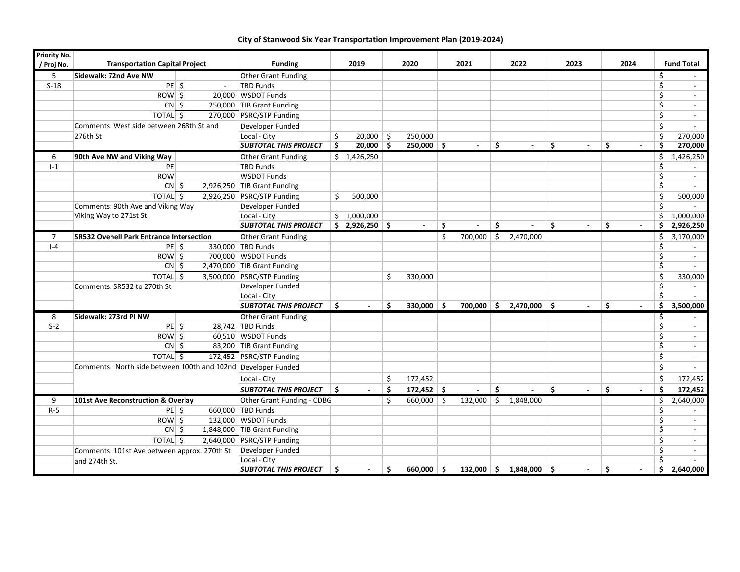| Priority No.   |                                                               |        |                              |    |                          |      |                |      |                |      |                       |      |                |                      |    |                   |
|----------------|---------------------------------------------------------------|--------|------------------------------|----|--------------------------|------|----------------|------|----------------|------|-----------------------|------|----------------|----------------------|----|-------------------|
| / Proj No.     | <b>Transportation Capital Project</b>                         |        | <b>Funding</b>               |    | 2019                     | 2020 |                | 2021 |                |      | 2022                  | 2023 |                | 2024                 |    | <b>Fund Total</b> |
| 5              | Sidewalk: 72nd Ave NW                                         |        | Other Grant Funding          |    |                          |      |                |      |                |      |                       |      |                |                      | \$ |                   |
| $S-18$         | $PE$ \$                                                       | $\sim$ | <b>TBD Funds</b>             |    |                          |      |                |      |                |      |                       |      |                |                      | \$ |                   |
|                | $ROW$ \$                                                      |        | 20,000 WSDOT Funds           |    |                          |      |                |      |                |      |                       |      |                |                      | \$ |                   |
|                | $CN \mid \zeta$                                               |        | 250,000 TIB Grant Funding    |    |                          |      |                |      |                |      |                       |      |                |                      | \$ | $\sim$            |
|                | <b>TOTAL</b> <sub>5</sub>                                     |        | 270,000 PSRC/STP Funding     |    |                          |      |                |      |                |      |                       |      |                |                      | \$ | $\blacksquare$    |
|                | Comments: West side between 268th St and                      |        | Developer Funded             |    |                          |      |                |      |                |      |                       |      |                |                      | \$ |                   |
|                | 276th St                                                      |        | Local - City                 | \$ | $20,000$ \$              |      | 250,000        |      |                |      |                       |      |                |                      | \$ | 270,000           |
|                |                                                               |        | <b>SUBTOTAL THIS PROJECT</b> | Ŝ  | $20,000$ \$              |      | $250,000$ \$   |      |                | Ŝ.   |                       | Ŝ.   |                | Ŝ.<br>$\blacksquare$ | Ŝ. | 270,000           |
| 6              | 90th Ave NW and Viking Way                                    |        | Other Grant Funding          |    | \$1,426,250              |      |                |      |                |      |                       |      |                |                      | \$ | 1,426,250         |
| $I-1$          | PE                                                            |        | <b>TBD Funds</b>             |    |                          |      |                |      |                |      |                       |      |                |                      | \$ |                   |
|                | <b>ROW</b>                                                    |        | <b>WSDOT Funds</b>           |    |                          |      |                |      |                |      |                       |      |                |                      | \$ |                   |
|                | $CN$ \$                                                       |        | 2,926,250 TIB Grant Funding  |    |                          |      |                |      |                |      |                       |      |                |                      | \$ |                   |
|                | TOTAL <sub>5</sub>                                            |        | 2,926,250 PSRC/STP Funding   | Ś. | 500,000                  |      |                |      |                |      |                       |      |                |                      | \$ | 500,000           |
|                | Comments: 90th Ave and Viking Way                             |        | Developer Funded             |    |                          |      |                |      |                |      |                       |      |                |                      | \$ |                   |
|                | Viking Way to 271st St                                        |        | Local - City                 |    | \$1,000,000              |      |                |      |                |      |                       |      |                |                      | \$ | 1,000,000         |
|                |                                                               |        | <b>SUBTOTAL THIS PROJECT</b> |    | \$2,926,250              |      |                | Ŝ.   |                | Ŝ.   |                       | Ŝ.   |                | Ś                    | Ś. | 2,926,250         |
| $\overline{7}$ | <b>SR532 Ovenell Park Entrance Intersection</b>               |        | Other Grant Funding          |    |                          |      |                | Ŝ.   | 700,000        | ا \$ | 2,470,000             |      |                |                      | \$ | 3,170,000         |
| $I - 4$        | $PE$ \$                                                       |        | 330,000 TBD Funds            |    |                          |      |                |      |                |      |                       |      |                |                      | \$ |                   |
|                | $ROW \mid \frac{2}{5}$                                        |        | 700,000 WSDOT Funds          |    |                          |      |                |      |                |      |                       |      |                |                      | \$ |                   |
|                | $CN \mid \zeta$                                               |        | 2,470,000 TIB Grant Funding  |    |                          |      |                |      |                |      |                       |      |                |                      | \$ |                   |
|                | TOTAL <sub>5</sub>                                            |        | 3,500,000 PSRC/STP Funding   |    |                          | Ś.   | 330,000        |      |                |      |                       |      |                |                      | Ś. | 330,000           |
|                | Comments: SR532 to 270th St                                   |        | Developer Funded             |    |                          |      |                |      |                |      |                       |      |                |                      | \$ |                   |
|                |                                                               |        | Local - City                 |    |                          |      |                |      |                |      |                       |      |                |                      | \$ |                   |
|                |                                                               |        | <b>SUBTOTAL THIS PROJECT</b> | Ŝ. | $\overline{\phantom{a}}$ | Ŝ    | $330,000$ \$   |      | $700,000$ \$   |      | $2,470,000$ $\mid$ \$ |      | $\blacksquare$ | Ś.<br>$\blacksquare$ | Ŝ. | 3,500,000         |
| 8              | Sidewalk: 273rd PI NW                                         |        | Other Grant Funding          |    |                          |      |                |      |                |      |                       |      |                |                      | \$ |                   |
| $S-2$          | $PE$ \$                                                       |        | 28,742 TBD Funds             |    |                          |      |                |      |                |      |                       |      |                |                      | \$ |                   |
|                | $Row \$                                                       |        | 60,510 WSDOT Funds           |    |                          |      |                |      |                |      |                       |      |                |                      | \$ | $\sim$            |
|                | $CN$ \$                                                       |        | 83,200 TIB Grant Funding     |    |                          |      |                |      |                |      |                       |      |                |                      | \$ |                   |
|                | TOTAL <sup>5</sup>                                            |        | 172,452 PSRC/STP Funding     |    |                          |      |                |      |                |      |                       |      |                |                      | \$ | $\sim$            |
|                | Comments: North side between 100th and 102nd Developer Funded |        |                              |    |                          |      |                |      |                |      |                       |      |                |                      | \$ |                   |
|                |                                                               |        | Local - City                 |    |                          | \$   | 172,452        |      |                |      |                       |      |                |                      | Ś. | 172,452           |
|                |                                                               |        | <b>SUBTOTAL THIS PROJECT</b> | \$ |                          | Ś    | $172,452$ \$   |      | $\overline{a}$ | Ś.   |                       | Ŝ.   |                | Ś                    | Ś. | 172,452           |
| 9              | 101st Ave Reconstruction & Overlay                            |        | Other Grant Funding - CDBG   |    |                          | Ŝ.   | $660,000$ \ \$ |      | $132,000$ \$   |      | 1,848,000             |      |                |                      | \$ | 2,640,000         |
| $R-5$          | $PE$ \$                                                       |        | 660,000 TBD Funds            |    |                          |      |                |      |                |      |                       |      |                |                      | \$ | $\sim$            |
|                | $ROW \mid \frac{2}{5}$                                        |        | 132,000 WSDOT Funds          |    |                          |      |                |      |                |      |                       |      |                |                      | \$ | $\sim$            |
|                | $CN$ \$                                                       |        | 1,848,000 TIB Grant Funding  |    |                          |      |                |      |                |      |                       |      |                |                      | \$ | $\sim$            |
|                | TOTAL \$                                                      |        | 2,640,000 PSRC/STP Funding   |    |                          |      |                |      |                |      |                       |      |                |                      | \$ |                   |
|                | Comments: 101st Ave between approx. 270th St                  |        | Developer Funded             |    |                          |      |                |      |                |      |                       |      |                |                      | \$ |                   |
|                | and 274th St.                                                 |        | Local - City                 |    |                          |      |                |      |                |      |                       |      |                |                      | \$ |                   |
|                |                                                               |        | <b>SUBTOTAL THIS PROJECT</b> | Ś. | $\sim$                   | Ŝ.   | $660.000$   \$ |      | $132.000$   \$ |      | 1.848.000 \$          |      | $\blacksquare$ | Ś<br>$\blacksquare$  | Ś. | 2.640.000         |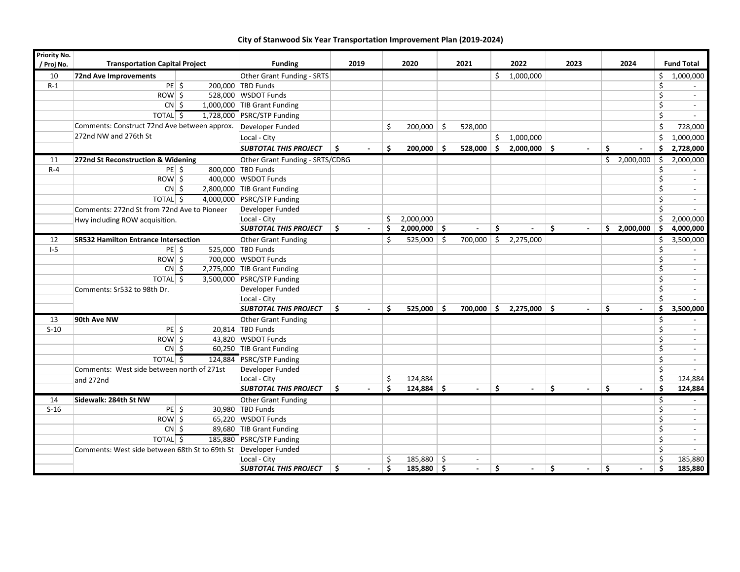| <b>Priority No.</b> |                                                                 |  |                                 |                               |    |                    |              |            |                          |    |                          |    |                          |     |                   |
|---------------------|-----------------------------------------------------------------|--|---------------------------------|-------------------------------|----|--------------------|--------------|------------|--------------------------|----|--------------------------|----|--------------------------|-----|-------------------|
| / Proj No.          | <b>Transportation Capital Project</b>                           |  | <b>Funding</b>                  | 2019                          |    | 2020               | 2021         |            | 2022                     |    | 2023                     |    | 2024                     |     | <b>Fund Total</b> |
| 10                  | 72nd Ave Improvements                                           |  | Other Grant Funding - SRTS      |                               |    |                    |              | Ś.         | 1,000,000                |    |                          |    |                          | \$  | 1,000,000         |
| $R-1$               | $PE$ \$                                                         |  | 200,000 TBD Funds               |                               |    |                    |              |            |                          |    |                          |    |                          | \$  |                   |
|                     | $ROW \,$ \$                                                     |  | 528,000 WSDOT Funds             |                               |    |                    |              |            |                          |    |                          |    |                          | \$  |                   |
|                     | $CN \simeq$                                                     |  | 1,000,000 TIB Grant Funding     |                               |    |                    |              |            |                          |    |                          |    |                          | \$  |                   |
|                     | <b>TOTAL</b> <sub>5</sub>                                       |  | 1,728,000 PSRC/STP Funding      |                               |    |                    |              |            |                          |    |                          |    |                          | \$  |                   |
|                     | Comments: Construct 72nd Ave between approx.                    |  | Developer Funded                |                               | \$ | $200,000$ \$       | 528,000      |            |                          |    |                          |    |                          | Ŝ.  | 728,000           |
|                     | 272nd NW and 276th St                                           |  | Local - City                    |                               |    |                    |              | Ś.         | 1,000,000                |    |                          |    |                          | Ś.  | 1,000,000         |
|                     |                                                                 |  | <b>SUBTOTAL THIS PROJECT</b>    | Ŝ                             | Ŝ. | $200,000$ \$       | $528,000$ \$ |            | $2,000,000$ \$           |    | $\blacksquare$           | Ś  | $\overline{\phantom{a}}$ | Ŝ   | 2,728,000         |
| 11                  | 272nd St Reconstruction & Widening                              |  | Other Grant Funding - SRTS/CDBG |                               |    |                    |              |            |                          |    |                          |    | \$2,000,000              | -\$ | 2,000,000         |
| $R - 4$             | $PE \mid$ \$                                                    |  | 800,000 TBD Funds               |                               |    |                    |              |            |                          |    |                          |    |                          | \$  |                   |
|                     | $ROW \succeq$                                                   |  | 400,000 WSDOT Funds             |                               |    |                    |              |            |                          |    |                          |    |                          | \$  |                   |
|                     | $CN \mid \zeta$                                                 |  | 2,800,000 TIB Grant Funding     |                               |    |                    |              |            |                          |    |                          |    |                          | \$  | $\sim$            |
|                     | TOTAL $\sqrt{5}$                                                |  | 4,000,000 PSRC/STP Funding      |                               |    |                    |              |            |                          |    |                          |    |                          | \$  |                   |
|                     | Comments: 272nd St from 72nd Ave to Pioneer                     |  | Developer Funded                |                               |    |                    |              |            |                          |    |                          |    |                          | \$  |                   |
|                     | Hwy including ROW acquisition.                                  |  | Local - City                    |                               | \$ | 2,000,000          |              |            |                          |    |                          |    |                          | \$  | 2,000,000         |
|                     |                                                                 |  | <b>SUBTOTAL THIS PROJECT</b>    | ۱s<br>$\sim$                  | Ŝ. | $2,000,000$ \$     | $\sim$       | Ŝ.         | $\overline{\phantom{a}}$ | Ŝ. | $\overline{\phantom{a}}$ |    | $$2,000,000$ \$          |     | 4,000,000         |
| 12                  | <b>SR532 Hamilton Entrance Intersection</b>                     |  | Other Grant Funding             |                               | Ŝ. | 525,000 $\vert$ \$ | 700,000      | $\sqrt{5}$ | 2,275,000                |    |                          |    |                          | \$  | 3,500,000         |
| $I-5$               | $PE$ \$                                                         |  | 525,000 TBD Funds               |                               |    |                    |              |            |                          |    |                          |    |                          | \$  |                   |
|                     | $ROW \$                                                         |  | 700,000 WSDOT Funds             |                               |    |                    |              |            |                          |    |                          |    |                          | \$  |                   |
|                     | $CN \mid 5$                                                     |  | 2,275,000 TIB Grant Funding     |                               |    |                    |              |            |                          |    |                          |    |                          | \$  |                   |
|                     | TOTAL <sup>5</sup>                                              |  | 3,500,000 PSRC/STP Funding      |                               |    |                    |              |            |                          |    |                          |    |                          | \$  | $\sim$            |
|                     | Comments: Sr532 to 98th Dr.                                     |  | Developer Funded                |                               |    |                    |              |            |                          |    |                          |    |                          | \$  |                   |
|                     |                                                                 |  | Local - City                    |                               |    |                    |              |            |                          |    |                          |    |                          | \$  |                   |
|                     |                                                                 |  | <b>SUBTOTAL THIS PROJECT</b>    | Ŝ.                            | Ŝ. | $525,000$ \$       | $700,000$ \$ |            | $2,275,000$ \$           |    | $\overline{a}$           | Ŝ. | $\overline{a}$           | Ŝ.  | 3,500,000         |
| 13                  | 90th Ave NW                                                     |  | Other Grant Funding             |                               |    |                    |              |            |                          |    |                          |    |                          | \$  |                   |
| $S-10$              | $PE$ \$                                                         |  | 20,814 TBD Funds                |                               |    |                    |              |            |                          |    |                          |    |                          | \$  | $\sim$            |
|                     | $ROW \$                                                         |  | 43,820 WSDOT Funds              |                               |    |                    |              |            |                          |    |                          |    |                          | \$  | $\sim$            |
|                     | $CN$ \$                                                         |  | 60,250 TIB Grant Funding        |                               |    |                    |              |            |                          |    |                          |    |                          | \$  |                   |
|                     | TOTAL <sup>5</sup>                                              |  | 124,884 PSRC/STP Funding        |                               |    |                    |              |            |                          |    |                          |    |                          | \$  |                   |
|                     | Comments: West side between north of 271st                      |  | Developer Funded                |                               |    |                    |              |            |                          |    |                          |    |                          | \$  |                   |
|                     | and 272nd                                                       |  | Local - City                    |                               | \$ | 124,884            |              |            |                          |    |                          |    |                          | \$  | 124,884           |
|                     |                                                                 |  | <b>SUBTOTAL THIS PROJECT</b>    | Ŝ.                            | Ŝ. | $124,884$ \$       |              | \$.        |                          | Ŝ. | $\overline{a}$           | Ŝ. |                          | Ŝ.  | 124,884           |
| 14                  | Sidewalk: 284th St NW                                           |  | Other Grant Funding             |                               |    |                    |              |            |                          |    |                          |    |                          | \$  |                   |
| $S-16$              | $PE$ $\sim$                                                     |  | 30,980 TBD Funds                |                               |    |                    |              |            |                          |    |                          |    |                          | \$  | $\sim$            |
|                     | $ROW \$                                                         |  | 65,220 WSDOT Funds              |                               |    |                    |              |            |                          |    |                          |    |                          | Ŝ.  |                   |
|                     | $CN \mid \zeta$                                                 |  | 89,680 TIB Grant Funding        |                               |    |                    |              |            |                          |    |                          |    |                          | \$  |                   |
|                     | TOTAL \$                                                        |  | 185,880 PSRC/STP Funding        |                               |    |                    |              |            |                          |    |                          |    |                          | \$  |                   |
|                     | Comments: West side between 68th St to 69th St Developer Funded |  |                                 |                               |    |                    |              |            |                          |    |                          |    |                          | Ś.  |                   |
|                     |                                                                 |  | Local - City                    |                               | \$ | 185,880            | \$<br>$\sim$ |            |                          |    |                          |    |                          | \$  | 185,880           |
|                     |                                                                 |  | <b>SUBTOTAL THIS PROJECT</b>    | Ś<br>$\overline{\phantom{a}}$ | Ŝ. | $185,880$ \$       | $\sim$       | \$         | $\blacksquare$           | Ŝ. | $\blacksquare$           | Ś. | $\overline{\phantom{a}}$ | Ŝ.  | 185,880           |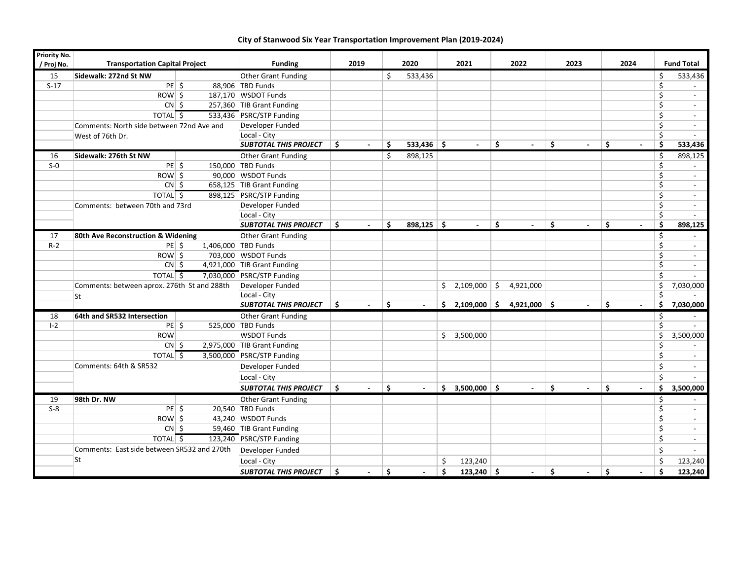| <b>Priority No.</b> |                                             |  |                              |      |                          |      |              |                      |                |                                           |                                                     |                         |           |
|---------------------|---------------------------------------------|--|------------------------------|------|--------------------------|------|--------------|----------------------|----------------|-------------------------------------------|-----------------------------------------------------|-------------------------|-----------|
| / Proj No.          | <b>Transportation Capital Project</b>       |  | <b>Funding</b>               | 2019 |                          | 2020 | 2021         | 2022                 | 2023           | 2024                                      |                                                     | <b>Fund Total</b>       |           |
| 15                  | Sidewalk: 272nd St NW                       |  | Other Grant Funding          |      |                          | Ś.   | 533,436      |                      |                |                                           |                                                     | \$                      | 533,436   |
| $S-17$              | $PE$ \$                                     |  | 88.906 TBD Funds             |      |                          |      |              |                      |                |                                           |                                                     | Ŝ.                      |           |
|                     | $Row \$                                     |  | 187,170 WSDOT Funds          |      |                          |      |              |                      |                |                                           |                                                     | \$                      |           |
|                     | $CN \,$ $\sim$                              |  | 257,360 TIB Grant Funding    |      |                          |      |              |                      |                |                                           |                                                     | \$                      | $\sim$    |
|                     | TOTAL <sub>5</sub>                          |  | 533,436 PSRC/STP Funding     |      |                          |      |              |                      |                |                                           |                                                     | \$                      | $\sim$    |
|                     | Comments: North side between 72nd Ave and   |  | Developer Funded             |      |                          |      |              |                      |                |                                           |                                                     | \$                      | $\sim$    |
|                     | West of 76th Dr.                            |  | Local - City                 |      |                          |      |              |                      |                |                                           |                                                     | \$                      |           |
|                     |                                             |  | <b>SUBTOTAL THIS PROJECT</b> | Ŝ.   | $\sim$                   | Ś    | $533,436$ \$ | $\sim$               | \$<br>$\sim$   | \$<br>$\blacksquare$                      | \$<br>$\overline{\phantom{a}}$                      | \$                      | 533,436   |
| 16                  | Sidewalk: 276th St NW                       |  | <b>Other Grant Funding</b>   |      |                          | Ŝ.   | 898,125      |                      |                |                                           |                                                     | \$                      | 898,125   |
| $S-0$               | $PE$ \$                                     |  | 150,000 TBD Funds            |      |                          |      |              |                      |                |                                           |                                                     | \$                      |           |
|                     | $Row \$                                     |  | 90,000 WSDOT Funds           |      |                          |      |              |                      |                |                                           |                                                     | \$                      | $\sim$    |
|                     | $CN$ \$                                     |  | 658,125 TIB Grant Funding    |      |                          |      |              |                      |                |                                           |                                                     | $\zeta$                 | $\sim$    |
|                     | TOTAL $\sqrt{5}$                            |  | 898,125 PSRC/STP Funding     |      |                          |      |              |                      |                |                                           |                                                     | \$                      | $\sim$    |
|                     | Comments: between 70th and 73rd             |  | Developer Funded             |      |                          |      |              |                      |                |                                           |                                                     | \$                      | $\sim$    |
|                     |                                             |  | Local - City                 |      |                          |      |              |                      |                |                                           |                                                     | \$                      |           |
|                     |                                             |  | <b>SUBTOTAL THIS PROJECT</b> | -\$  | $\sim$                   | Ŝ.   | $898,125$ \$ | $\sim$               | Ŝ.<br>$\sim$   | $\overline{\mathsf{S}}$<br>$\blacksquare$ | $\overline{\mathsf{S}}$<br>$\overline{\phantom{a}}$ | $\overline{\mathsf{s}}$ | 898,125   |
| 17                  | 80th Ave Reconstruction & Widening          |  | <b>Other Grant Funding</b>   |      |                          |      |              |                      |                |                                           |                                                     | \$                      |           |
| $R-2$               | $PE$ \$                                     |  | 1,406,000 TBD Funds          |      |                          |      |              |                      |                |                                           |                                                     | \$                      |           |
|                     | $ROW \$                                     |  | 703,000 WSDOT Funds          |      |                          |      |              |                      |                |                                           |                                                     | \$                      | $\sim$    |
|                     | $CN$ \$                                     |  | 4,921,000 TIB Grant Funding  |      |                          |      |              |                      |                |                                           |                                                     | \$                      |           |
|                     | TOTAL <sub>5</sub>                          |  | 7,030,000 PSRC/STP Funding   |      |                          |      |              |                      |                |                                           |                                                     | \$                      | $\sim$    |
|                     | Comments: between aprox. 276th St and 288th |  | Developer Funded             |      |                          |      |              | $2,109,000$ \$<br>\$ | 4,921,000      |                                           |                                                     | \$                      | 7,030,000 |
|                     | <b>St</b>                                   |  | Local - City                 |      |                          |      |              |                      |                |                                           |                                                     | \$                      |           |
|                     |                                             |  | <b>SUBTOTAL THIS PROJECT</b> | Ŝ.   | $\overline{\phantom{a}}$ | Ŝ.   |              | Ś.<br>$2,109,000$ \$ | $4,921,000$ \$ | $\blacksquare$                            | Ŝ.<br>$\blacksquare$                                | Ŝ.                      | 7,030,000 |
| 18                  | 64th and SR532 Intersection                 |  | <b>Other Grant Funding</b>   |      |                          |      |              |                      |                |                                           |                                                     | \$                      |           |
| $I - 2$             | $PE$ \$                                     |  | 525,000 TBD Funds            |      |                          |      |              |                      |                |                                           |                                                     | \$                      |           |
|                     | <b>ROW</b>                                  |  | <b>WSDOT Funds</b>           |      |                          |      |              | 3,500,000<br>Ŝ.      |                |                                           |                                                     | \$                      | 3,500,000 |
|                     | $CN$ \$                                     |  | 2,975,000 TIB Grant Funding  |      |                          |      |              |                      |                |                                           |                                                     | $\overline{\xi}$        |           |
|                     | TOTAL $\sqrt{5}$                            |  | 3,500,000 PSRC/STP Funding   |      |                          |      |              |                      |                |                                           |                                                     | \$                      | $\sim$    |
|                     | Comments: 64th & SR532                      |  | Developer Funded             |      |                          |      |              |                      |                |                                           |                                                     | \$                      |           |
|                     |                                             |  | Local - City                 |      |                          |      |              |                      |                |                                           |                                                     | \$                      |           |
|                     |                                             |  | <b>SUBTOTAL THIS PROJECT</b> | s.   |                          | Ŝ.   |              | $$3,500,000$ \$      | $\sim$         | Ŝ.<br>$\sim$                              | Ŝ.                                                  | Ś.                      | 3,500,000 |
| 19                  | 98th Dr. NW                                 |  | Other Grant Funding          |      |                          |      |              |                      |                |                                           |                                                     | \$                      |           |
| $S-8$               | $PE$ \$                                     |  | 20,540 TBD Funds             |      |                          |      |              |                      |                |                                           |                                                     | \$                      |           |
|                     | $ROW$ \$                                    |  | 43,240 WSDOT Funds           |      |                          |      |              |                      |                |                                           |                                                     | \$                      | $\sim$    |
|                     | $CN$ \$                                     |  | 59,460 TIB Grant Funding     |      |                          |      |              |                      |                |                                           |                                                     | Ś.                      |           |
|                     | TOTAL <sup>5</sup>                          |  | 123,240 PSRC/STP Funding     |      |                          |      |              |                      |                |                                           |                                                     | \$                      | $\sim$    |
|                     | Comments: East side between SR532 and 270th |  | Developer Funded             |      |                          |      |              |                      |                |                                           |                                                     | Ŝ.                      |           |
|                     | lSt                                         |  | Local - City                 |      |                          |      |              | \$<br>123,240        |                |                                           |                                                     | \$                      | 123,240   |
|                     |                                             |  | <b>SUBTOTAL THIS PROJECT</b> | Ś    |                          | Ŝ.   |              | Ś.<br>$123,240$ \$   | $\sim$         | \$                                        | \$<br>$\blacksquare$                                | Ś                       | 123,240   |